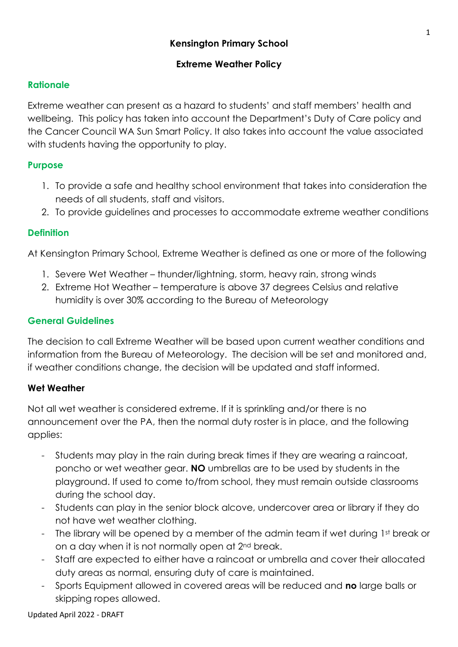### **Extreme Weather Policy**

## **Rationale**

Extreme weather can present as a hazard to students' and staff members' health and wellbeing. This policy has taken into account the Department's Duty of Care policy and the Cancer Council WA Sun Smart Policy. It also takes into account the value associated with students having the opportunity to play.

# **Purpose**

- 1. To provide a safe and healthy school environment that takes into consideration the needs of all students, staff and visitors.
- 2. To provide guidelines and processes to accommodate extreme weather conditions

# **Definition**

At Kensington Primary School, Extreme Weather is defined as one or more of the following

- 1. Severe Wet Weather thunder/lightning, storm, heavy rain, strong winds
- 2. Extreme Hot Weather temperature is above 37 degrees Celsius and relative humidity is over 30% according to the Bureau of Meteorology

## **General Guidelines**

The decision to call Extreme Weather will be based upon current weather conditions and information from the Bureau of Meteorology. The decision will be set and monitored and, if weather conditions change, the decision will be updated and staff informed.

#### **Wet Weather**

Not all wet weather is considered extreme. If it is sprinkling and/or there is no announcement over the PA, then the normal duty roster is in place, and the following applies:

- Students may play in the rain during break times if they are wearing a raincoat, poncho or wet weather gear. **NO** umbrellas are to be used by students in the playground. If used to come to/from school, they must remain outside classrooms during the school day.
- Students can play in the senior block alcove, undercover area or library if they do not have wet weather clothing.
- The library will be opened by a member of the admin team if wet during 1st break or on a day when it is not normally open at 2nd break.
- Staff are expected to either have a raincoat or umbrella and cover their allocated duty areas as normal, ensuring duty of care is maintained.
- Sports Equipment allowed in covered areas will be reduced and **no** large balls or skipping ropes allowed.